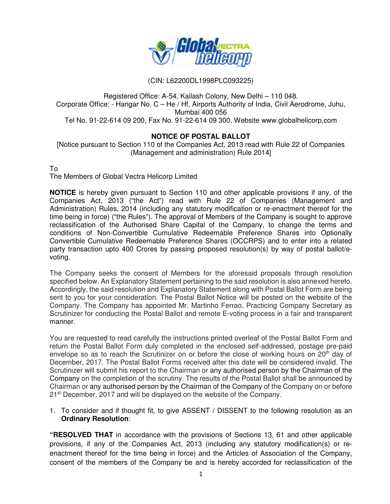

## (CIN: L62200DL1998PLC093225)

Registered Office: A-54, Kailash Colony, New Delhi – 110 048. Corporate Office: - Hangar No. C – He / Hf, Airports Authority of India, Civil Aerodrome, Juhu, Mumbai 400 056 Tel No. 91-22-614 09 200, Fax No. 91-22-614 09 300, Website www.globalhelicorp.com

### **NOTICE OF POSTAL BALLOT**

[Notice pursuant to Section 110 of the Companies Act, 2013 read with Rule 22 of Companies (Management and administration) Rule 2014]

#### To

The Members of Global Vectra Helicorp Limited

**NOTICE** is hereby given pursuant to Section 110 and other applicable provisions if any, of the Companies Act, 2013 ("the Act") read with Rule 22 of Companies (Management and Administration) Rules, 2014 (including any statutory modification or re-enactment thereof for the time being in force) ("the Rules"). The approval of Members of the Company is sought to approve reclassification of the Authorised Share Capital of the Company, to change the terms and conditions of Non-Convertible Cumulative Redeemable Preference Shares into Optionally Convertible Cumulative Redeemable Preference Shares (OCCRPS) and to enter into a related party transaction upto 400 Crores by passing proposed resolution(s) by way of postal ballot/evoting.

The Company seeks the consent of Members for the aforesaid proposals through resolution specified below. An Explanatory Statement pertaining to the said resolution is also annexed hereto. Accordingly, the said resolution and Explanatory Statement along with Postal Ballot Form are being sent to you for your consideration. The Postal Ballot Notice will be posted on the website of the Company. The Company has appointed Mr. Martinho Ferrao, Practicing Company Secretary as Scrutinizer for conducting the Postal Ballot and remote E-voting process in a fair and transparent manner.

You are requested to read carefully the instructions printed overleaf of the Postal Ballot Form and return the Postal Ballot Form duly completed in the enclosed self-addressed, postage pre-paid envelope so as to reach the Scrutinizer on or before the close of working hours on 20<sup>th</sup> day of December, 2017. The Postal Ballot Forms received after this date will be considered invalid. The Scrutinizer will submit his report to the Chairman or any authorised person by the Chairman of the Company on the completion of the scrutiny. The results of the Postal Ballot shall be announced by Chairman or any authorised person by the Chairman of the Company of the Company on or before 21<sup>st</sup> December, 2017 and will be displayed on the website of the Company.

1. To consider and if thought fit, to give ASSENT / DISSENT to the following resolution as an **Ordinary Resolution**:

**"RESOLVED THAT** in accordance with the provisions of Sections 13, 61 and other applicable provisions, if any of the Companies Act, 2013 (including any statutory modification(s) or reenactment thereof for the time being in force) and the Articles of Association of the Company, consent of the members of the Company be and is hereby accorded for reclassification of the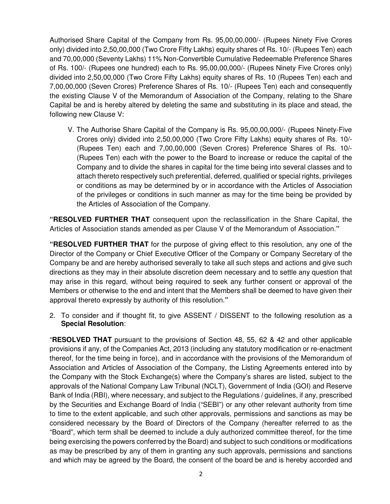Authorised Share Capital of the Company from Rs. 95,00,00,000/- (Rupees Ninety Five Crores only) divided into 2,50,00,000 (Two Crore Fifty Lakhs) equity shares of Rs. 10/- (Rupees Ten) each and 70,00,000 (Seventy Lakhs) 11% Non-Convertible Cumulative Redeemable Preference Shares of Rs. 100/- (Rupees one hundred) each to Rs. 95,00,00,000/- (Rupees Ninety Five Crores only) divided into 2,50,00,000 (Two Crore Fifty Lakhs) equity shares of Rs. 10 (Rupees Ten) each and 7,00,00,000 (Seven Crores) Preference Shares of Rs. 10/- (Rupees Ten) each and consequently the existing Clause V of the Memorandum of Association of the Company, relating to the Share Capital be and is hereby altered by deleting the same and substituting in its place and stead, the following new Clause V:

V. The Authorise Share Capital of the Company is Rs. 95,00,00,000/- (Rupees Ninety-Five Crores only) divided into 2,50,00,000 (Two Crore Fifty Lakhs) equity shares of Rs. 10/- (Rupees Ten) each and 7,00,00,000 (Seven Crores) Preference Shares of Rs. 10/- (Rupees Ten) each with the power to the Board to increase or reduce the capital of the Company and to divide the shares in capital for the time being into several classes and to attach thereto respectively such preferential, deferred, qualified or special rights, privileges or conditions as may be determined by or in accordance with the Articles of Association of the privileges or conditions in such manner as may for the time being be provided by the Articles of Association of the Company.

**"RESOLVED FURTHER THAT** consequent upon the reclassification in the Share Capital, the Articles of Association stands amended as per Clause V of the Memorandum of Association.**"**

**"RESOLVED FURTHER THAT** for the purpose of giving effect to this resolution, any one of the Director of the Company or Chief Executive Officer of the Company or Company Secretary of the Company be and are hereby authorised severally to take all such steps and actions and give such directions as they may in their absolute discretion deem necessary and to settle any question that may arise in this regard, without being required to seek any further consent or approval of the Members or otherwise to the end and intent that the Members shall be deemed to have given their approval thereto expressly by authority of this resolution.**"**

2. To consider and if thought fit, to give ASSENT / DISSENT to the following resolution as a **Special Resolution**:

"**RESOLVED THAT** pursuant to the provisions of Section 48, 55, 62 & 42 and other applicable provisions if any, of the Companies Act, 2013 (including any statutory modification or re-enactment thereof, for the time being in force), and in accordance with the provisions of the Memorandum of Association and Articles of Association of the Company, the Listing Agreements entered into by the Company with the Stock Exchange(s) where the Company's shares are listed, subject to the approvals of the National Company Law Tribunal (NCLT), Government of India (GOI) and Reserve Bank of India (RBI), where necessary, and subject to the Regulations / guidelines, if any, prescribed by the Securities and Exchange Board of India ("SEBI") or any other relevant authority from time to time to the extent applicable, and such other approvals, permissions and sanctions as may be considered necessary by the Board of Directors of the Company (hereafter referred to as the "Board", which term shall be deemed to include a duly authorized committee thereof, for the time being exercising the powers conferred by the Board) and subject to such conditions or modifications as may be prescribed by any of them in granting any such approvals, permissions and sanctions and which may be agreed by the Board, the consent of the board be and is hereby accorded and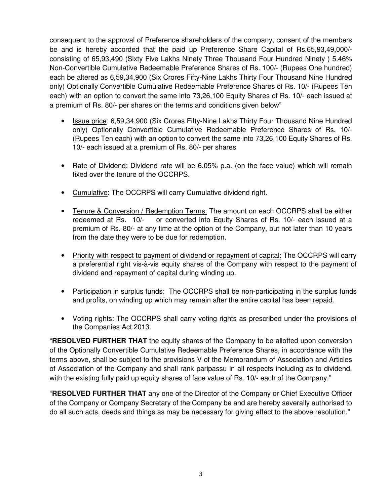consequent to the approval of Preference shareholders of the company, consent of the members be and is hereby accorded that the paid up Preference Share Capital of Rs.65,93,49,000/ consisting of 65,93,490 (Sixty Five Lakhs Ninety Three Thousand Four Hundred Ninety ) 5.46% Non-Convertible Cumulative Redeemable Preference Shares of Rs. 100/- (Rupees One hundred) each be altered as 6,59,34,900 (Six Crores Fifty-Nine Lakhs Thirty Four Thousand Nine Hundred only) Optionally Convertible Cumulative Redeemable Preference Shares of Rs. 10/- (Rupees Ten each) with an option to convert the same into 73,26,100 Equity Shares of Rs. 10/- each issued at a premium of Rs. 80/- per shares on the terms and conditions given below"

- Issue price: 6,59,34,900 (Six Crores Fifty-Nine Lakhs Thirty Four Thousand Nine Hundred only) Optionally Convertible Cumulative Redeemable Preference Shares of Rs. 10/- (Rupees Ten each) with an option to convert the same into 73,26,100 Equity Shares of Rs. 10/- each issued at a premium of Rs. 80/- per shares
- Rate of Dividend: Dividend rate will be 6.05% p.a. (on the face value) which will remain fixed over the tenure of the OCCRPS.
- Cumulative: The OCCRPS will carry Cumulative dividend right.
- Tenure & Conversion / Redemption Terms: The amount on each OCCRPS shall be either redeemed at Rs. 10/- or converted into Equity Shares of Rs. 10/- each issued at a premium of Rs. 80/- at any time at the option of the Company, but not later than 10 years from the date they were to be due for redemption.
- Priority with respect to payment of dividend or repayment of capital: The OCCRPS will carry a preferential right vis-à-vis equity shares of the Company with respect to the payment of dividend and repayment of capital during winding up.
- Participation in surplus funds: The OCCRPS shall be non-participating in the surplus funds and profits, on winding up which may remain after the entire capital has been repaid.
- Voting rights: The OCCRPS shall carry voting rights as prescribed under the provisions of the Companies Act,2013.

"**RESOLVED FURTHER THAT** the equity shares of the Company to be allotted upon conversion of the Optionally Convertible Cumulative Redeemable Preference Shares, in accordance with the terms above, shall be subject to the provisions V of the Memorandum of Association and Articles of Association of the Company and shall rank paripassu in all respects including as to dividend, with the existing fully paid up equity shares of face value of Rs. 10/- each of the Company."

"**RESOLVED FURTHER THAT** any one of the Director of the Company or Chief Executive Officer of the Company or Company Secretary of the Company be and are hereby severally authorised to do all such acts, deeds and things as may be necessary for giving effect to the above resolution."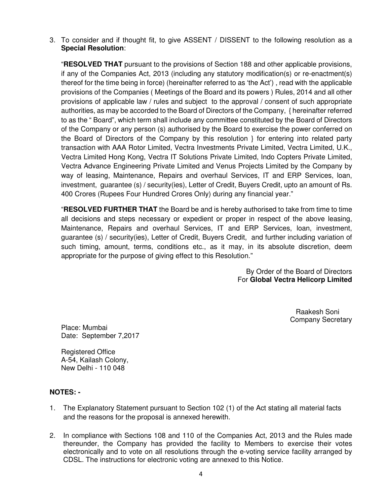3. To consider and if thought fit, to give ASSENT / DISSENT to the following resolution as a **Special Resolution**:

"**RESOLVED THAT** pursuant to the provisions of Section 188 and other applicable provisions, if any of the Companies Act, 2013 (including any statutory modification(s) or re-enactment(s) thereof for the time being in force) (hereinafter referred to as 'the Act') , read with the applicable provisions of the Companies ( Meetings of the Board and its powers ) Rules, 2014 and all other provisions of applicable law / rules and subject to the approval / consent of such appropriate authorities, as may be accorded to the Board of Directors of the Company, { hereinafter referred to as the " Board", which term shall include any committee constituted by the Board of Directors of the Company or any person (s) authorised by the Board to exercise the power conferred on the Board of Directors of the Company by this resolution } for entering into related party transaction with AAA Rotor Limited, Vectra Investments Private Limited, Vectra Limited, U.K., Vectra Limited Hong Kong, Vectra IT Solutions Private Limited, Indo Copters Private Limited, Vectra Advance Engineering Private Limited and Venus Projects Limited by the Company by way of leasing, Maintenance, Repairs and overhaul Services, IT and ERP Services, loan, investment, guarantee (s) / security(ies), Letter of Credit, Buyers Credit, upto an amount of Rs. 400 Crores (Rupees Four Hundred Crores Only) during any financial year."

"**RESOLVED FURTHER THAT** the Board be and is hereby authorised to take from time to time all decisions and steps necessary or expedient or proper in respect of the above leasing, Maintenance, Repairs and overhaul Services, IT and ERP Services, loan, investment, guarantee (s) / security(ies), Letter of Credit, Buyers Credit, and further including variation of such timing, amount, terms, conditions etc., as it may, in its absolute discretion, deem appropriate for the purpose of giving effect to this Resolution."

> By Order of the Board of Directors For **Global Vectra Helicorp Limited**

> > Raakesh Soni Company Secretary

Place: Mumbai Date: September 7,2017

Registered Office A-54, Kailash Colony, New Delhi - 110 048

# **NOTES: -**

- 1. The Explanatory Statement pursuant to Section 102 (1) of the Act stating all material facts and the reasons for the proposal is annexed herewith.
- 2. In compliance with Sections 108 and 110 of the Companies Act, 2013 and the Rules made thereunder, the Company has provided the facility to Members to exercise their votes electronically and to vote on all resolutions through the e-voting service facility arranged by CDSL. The instructions for electronic voting are annexed to this Notice.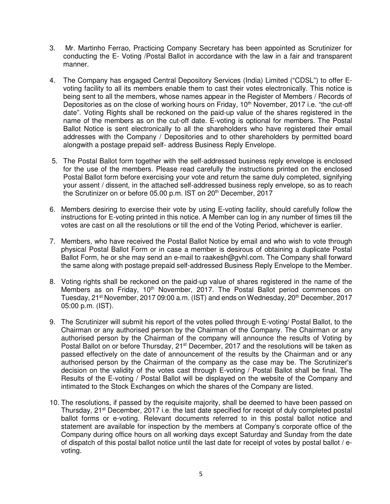- 3. Mr. Martinho Ferrao, Practicing Company Secretary has been appointed as Scrutinizer for conducting the E- Voting /Postal Ballot in accordance with the law in a fair and transparent manner.
- 4. The Company has engaged Central Depository Services (India) Limited ("CDSL") to offer Evoting facility to all its members enable them to cast their votes electronically. This notice is being sent to all the members, whose names appear in the Register of Members / Records of Depositories as on the close of working hours on Friday, 10<sup>th</sup> November, 2017 i.e. "the cut-off date". Voting Rights shall be reckoned on the paid-up value of the shares registered in the name of the members as on the cut-off date. E-voting is optional for members. The Postal Ballot Notice is sent electronically to all the shareholders who have registered their email addresses with the Company / Depositories and to other shareholders by permitted board alongwith a postage prepaid self- address Business Reply Envelope.
- 5. The Postal Ballot form together with the self-addressed business reply envelope is enclosed for the use of the members. Please read carefully the instructions printed on the enclosed Postal Ballot form before exercising your vote and return the same duly completed, signifying your assent / dissent, in the attached self-addressed business reply envelope, so as to reach the Scrutinizer on or before 05.00 p.m. IST on  $20<sup>th</sup>$  December,  $2017$
- 6. Members desiring to exercise their vote by using E-voting facility, should carefully follow the instructions for E-voting printed in this notice. A Member can log in any number of times till the votes are cast on all the resolutions or till the end of the Voting Period, whichever is earlier.
- 7. Members, who have received the Postal Ballot Notice by email and who wish to vote through physical Postal Ballot Form or in case a member is desirous of obtaining a duplicate Postal Ballot Form, he or she may send an e-mail to raakesh@gvhl.com. The Company shall forward the same along with postage prepaid self-addressed Business Reply Envelope to the Member.
- 8. Voting rights shall be reckoned on the paid-up value of shares registered in the name of the Members as on Friday, 10<sup>th</sup> November, 2017. The Postal Ballot period commences on Tuesday, 21<sup>st</sup> November, 2017 09:00 a.m. (IST) and ends on Wednesday, 20<sup>th</sup> December, 2017 05:00 p.m. (IST).
- 9. The Scrutinizer will submit his report of the votes polled through E-voting/ Postal Ballot, to the Chairman or any authorised person by the Chairman of the Company. The Chairman or any authorised person by the Chairman of the company will announce the results of Voting by Postal Ballot on or before Thursday, 21<sup>st</sup> December, 2017 and the resolutions will be taken as passed effectively on the date of announcement of the results by the Chairman and or any authorised person by the Chairman of the company as the case may be. The Scrutinizer's decision on the validity of the votes cast through E-voting / Postal Ballot shall be final. The Results of the E-voting / Postal Ballot will be displayed on the website of the Company and intimated to the Stock Exchanges on which the shares of the Company are listed.
- 10. The resolutions, if passed by the requisite majority, shall be deemed to have been passed on Thursday, 21<sup>st</sup> December, 2017 i.e. the last date specified for receipt of duly completed postal ballot forms or e-voting. Relevant documents referred to in this postal ballot notice and statement are available for inspection by the members at Company's corporate office of the Company during office hours on all working days except Saturday and Sunday from the date of dispatch of this postal ballot notice until the last date for receipt of votes by postal ballot / evoting.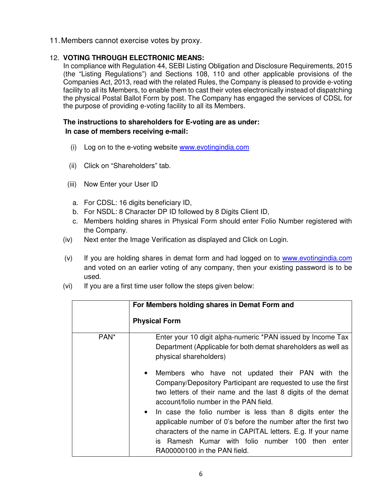11. Members cannot exercise votes by proxy.

# 12. **VOTING THROUGH ELECTRONIC MEANS:**

In compliance with Regulation 44, SEBI Listing Obligation and Disclosure Requirements, 2015 (the "Listing Regulations") and Sections 108, 110 and other applicable provisions of the Companies Act, 2013, read with the related Rules, the Company is pleased to provide e-voting facility to all its Members, to enable them to cast their votes electronically instead of dispatching the physical Postal Ballot Form by post. The Company has engaged the services of CDSL for the purpose of providing e-voting facility to all its Members.

## **The instructions to shareholders for E-voting are as under: In case of members receiving e-mail:**

- (i) Log on to the e-voting website www.evotingindia.com
- (ii) Click on "Shareholders" tab.
- (iii) Now Enter your User ID
	- a. For CDSL: 16 digits beneficiary ID,
	- b. For NSDL: 8 Character DP ID followed by 8 Digits Client ID,
	- c. Members holding shares in Physical Form should enter Folio Number registered with the Company.
- (iv) Next enter the Image Verification as displayed and Click on Login.
- (v) If you are holding shares in demat form and had logged on to www.evotingindia.com and voted on an earlier voting of any company, then your existing password is to be used.
- (vi) If you are a first time user follow the steps given below:

|                  | For Members holding shares in Demat Form and                                                                                                                                                                                                                                                                                                                                                                                                                                                                                              |
|------------------|-------------------------------------------------------------------------------------------------------------------------------------------------------------------------------------------------------------------------------------------------------------------------------------------------------------------------------------------------------------------------------------------------------------------------------------------------------------------------------------------------------------------------------------------|
|                  | <b>Physical Form</b>                                                                                                                                                                                                                                                                                                                                                                                                                                                                                                                      |
| PAN <sup>*</sup> | Enter your 10 digit alpha-numeric *PAN issued by Income Tax<br>Department (Applicable for both demat shareholders as well as<br>physical shareholders)                                                                                                                                                                                                                                                                                                                                                                                    |
|                  | Members who have not updated their PAN with the<br>$\bullet$<br>Company/Depository Participant are requested to use the first<br>two letters of their name and the last 8 digits of the demat<br>account/folio number in the PAN field.<br>In case the folio number is less than 8 digits enter the<br>$\bullet$<br>applicable number of 0's before the number after the first two<br>characters of the name in CAPITAL letters. E.g. If your name<br>is Ramesh Kumar with folio number 100 then<br>enter<br>RA00000100 in the PAN field. |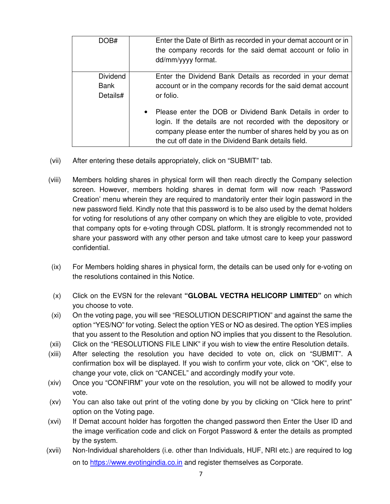| DOB#                                | Enter the Date of Birth as recorded in your demat account or in<br>the company records for the said demat account or folio in<br>dd/mm/yyyy format.                                                                                                 |
|-------------------------------------|-----------------------------------------------------------------------------------------------------------------------------------------------------------------------------------------------------------------------------------------------------|
| <b>Dividend</b><br>Bank<br>Details# | Enter the Dividend Bank Details as recorded in your demat<br>account or in the company records for the said demat account<br>or folio.                                                                                                              |
|                                     | • Please enter the DOB or Dividend Bank Details in order to<br>login. If the details are not recorded with the depository or<br>company please enter the number of shares held by you as on<br>the cut off date in the Dividend Bank details field. |

- (vii) After entering these details appropriately, click on "SUBMIT" tab.
- (viii) Members holding shares in physical form will then reach directly the Company selection screen. However, members holding shares in demat form will now reach 'Password Creation' menu wherein they are required to mandatorily enter their login password in the new password field. Kindly note that this password is to be also used by the demat holders for voting for resolutions of any other company on which they are eligible to vote, provided that company opts for e-voting through CDSL platform. It is strongly recommended not to share your password with any other person and take utmost care to keep your password confidential.
- (ix) For Members holding shares in physical form, the details can be used only for e-voting on the resolutions contained in this Notice.
- (x) Click on the EVSN for the relevant **"GLOBAL VECTRA HELICORP LIMITED"** on which you choose to vote.
- (xi) On the voting page, you will see "RESOLUTION DESCRIPTION" and against the same the option "YES/NO" for voting. Select the option YES or NO as desired. The option YES implies that you assent to the Resolution and option NO implies that you dissent to the Resolution.
- (xii) Click on the "RESOLUTIONS FILE LINK" if you wish to view the entire Resolution details.
- (xiii) After selecting the resolution you have decided to vote on, click on "SUBMIT". A confirmation box will be displayed. If you wish to confirm your vote, click on "OK", else to change your vote, click on "CANCEL" and accordingly modify your vote.
- (xiv) Once you "CONFIRM" your vote on the resolution, you will not be allowed to modify your vote.
- (xv) You can also take out print of the voting done by you by clicking on "Click here to print" option on the Voting page.
- (xvi) If Demat account holder has forgotten the changed password then Enter the User ID and the image verification code and click on Forgot Password & enter the details as prompted by the system.
- (xvii) Non-Individual shareholders (i.e. other than Individuals, HUF, NRI etc.) are required to log on to https://www.evotingindia.co.in and register themselves as Corporate.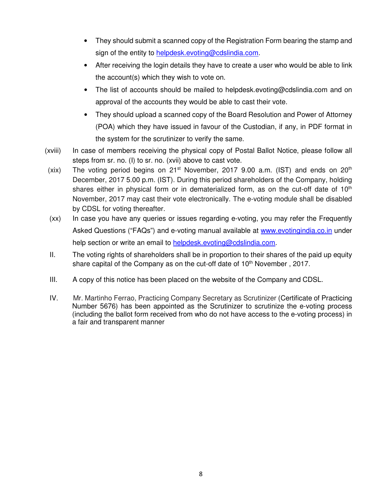- They should submit a scanned copy of the Registration Form bearing the stamp and sign of the entity to helpdesk.evoting@cdslindia.com.
- After receiving the login details they have to create a user who would be able to link the account(s) which they wish to vote on.
- The list of accounts should be mailed to helpdesk.evoting@cdslindia.com and on approval of the accounts they would be able to cast their vote.
- They should upload a scanned copy of the Board Resolution and Power of Attorney (POA) which they have issued in favour of the Custodian, if any, in PDF format in the system for the scrutinizer to verify the same.
- (xviii) In case of members receiving the physical copy of Postal Ballot Notice, please follow all steps from sr. no. (I) to sr. no. (xvii) above to cast vote.
- (xix) The voting period begins on  $21^{st}$  November, 2017 9.00 a.m. (IST) and ends on  $20^{th}$ December, 2017 5.00 p.m. (IST). During this period shareholders of the Company, holding shares either in physical form or in dematerialized form, as on the cut-off date of  $10<sup>th</sup>$ November, 2017 may cast their vote electronically. The e-voting module shall be disabled by CDSL for voting thereafter.
- (xx) In case you have any queries or issues regarding e-voting, you may refer the Frequently Asked Questions ("FAQs") and e-voting manual available at www.evotingindia.co.in under help section or write an email to helpdesk.evoting@cdslindia.com.
- II. The voting rights of shareholders shall be in proportion to their shares of the paid up equity share capital of the Company as on the cut-off date of 10<sup>th</sup> November, 2017.
- III. A copy of this notice has been placed on the website of the Company and CDSL.
- IV. Mr. Martinho Ferrao, Practicing Company Secretary as Scrutinizer (Certificate of Practicing Number 5676) has been appointed as the Scrutinizer to scrutinize the e-voting process (including the ballot form received from who do not have access to the e-voting process) in a fair and transparent manner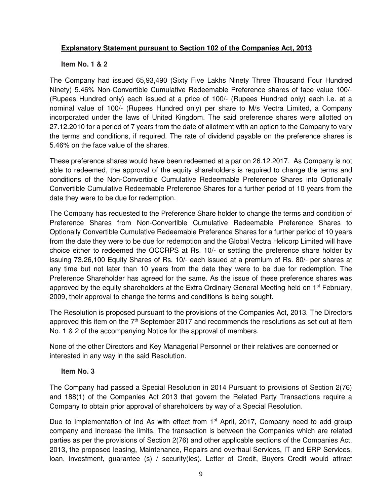## **Explanatory Statement pursuant to Section 102 of the Companies Act, 2013**

#### **Item No. 1 & 2**

The Company had issued 65,93,490 (Sixty Five Lakhs Ninety Three Thousand Four Hundred Ninety) 5.46% Non-Convertible Cumulative Redeemable Preference shares of face value 100/- (Rupees Hundred only) each issued at a price of 100/- (Rupees Hundred only) each i.e. at a nominal value of 100/- (Rupees Hundred only) per share to M/s Vectra Limited, a Company incorporated under the laws of United Kingdom. The said preference shares were allotted on 27.12.2010 for a period of 7 years from the date of allotment with an option to the Company to vary the terms and conditions, if required. The rate of dividend payable on the preference shares is 5.46% on the face value of the shares.

These preference shares would have been redeemed at a par on 26.12.2017. As Company is not able to redeemed, the approval of the equity shareholders is required to change the terms and conditions of the Non-Convertible Cumulative Redeemable Preference Shares into Optionally Convertible Cumulative Redeemable Preference Shares for a further period of 10 years from the date they were to be due for redemption.

The Company has requested to the Preference Share holder to change the terms and condition of Preference Shares from Non-Convertible Cumulative Redeemable Preference Shares to Optionally Convertible Cumulative Redeemable Preference Shares for a further period of 10 years from the date they were to be due for redemption and the Global Vectra Helicorp Limited will have choice either to redeemed the OCCRPS at Rs. 10/- or settling the preference share holder by issuing 73,26,100 Equity Shares of Rs. 10/- each issued at a premium of Rs. 80/- per shares at any time but not later than 10 years from the date they were to be due for redemption. The Preference Shareholder has agreed for the same. As the issue of these preference shares was approved by the equity shareholders at the Extra Ordinary General Meeting held on 1<sup>st</sup> February, 2009, their approval to change the terms and conditions is being sought.

The Resolution is proposed pursuant to the provisions of the Companies Act, 2013. The Directors approved this item on the  $7<sup>th</sup>$  September 2017 and recommends the resolutions as set out at Item No. 1 & 2 of the accompanying Notice for the approval of members.

None of the other Directors and Key Managerial Personnel or their relatives are concerned or interested in any way in the said Resolution.

### **Item No. 3**

The Company had passed a Special Resolution in 2014 Pursuant to provisions of Section 2(76) and 188(1) of the Companies Act 2013 that govern the Related Party Transactions require a Company to obtain prior approval of shareholders by way of a Special Resolution.

Due to Implementation of Ind As with effect from 1<sup>st</sup> April, 2017, Company need to add group company and increase the limits. The transaction is between the Companies which are related parties as per the provisions of Section 2(76) and other applicable sections of the Companies Act, 2013, the proposed leasing, Maintenance, Repairs and overhaul Services, IT and ERP Services, loan, investment, guarantee (s) / security(ies), Letter of Credit, Buyers Credit would attract